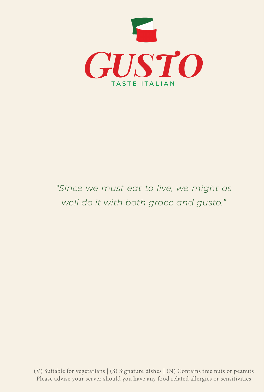

#### *"Since we must eat to live, we might as well do it with both grace and gusto."*

(V) Suitable for vegetarians | (S) Signature dishes | (N) Contains tree nuts or peanuts Please advise your server should you have any food related allergies or sensitivities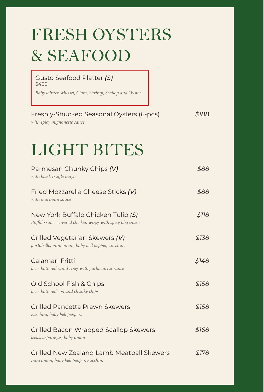| <b>FRESH OYSTERS</b>                                                                           |       |
|------------------------------------------------------------------------------------------------|-------|
| <b>&amp; SEAFOOD</b>                                                                           |       |
| Gusto Seafood Platter (S)<br>\$488<br>Baby lobster, Mussel, Clam, Shrimp, Scallop and Oyster   |       |
| Freshly-Shucked Seasonal Oysters (6-pcs)<br>with spicy mignonette sauce                        | \$188 |
| <b>LIGHT BITES</b>                                                                             |       |
| Parmesan Chunky Chips (V)<br>with black truffle mayo                                           | \$88  |
| Fried Mozzarella Cheese Sticks (V)<br>with marinara sauce                                      | \$88  |
| New York Buffalo Chicken Tulip (S)<br>Buffalo sauce covered chicken wings with spicy bbq sauce | \$118 |
| Grilled Vegetarian Skewers (V)<br>portobello, mini onion, baby bell pepper, zucchini           | \$138 |
| Calamari Fritti<br>beer-battered squid rings with garlic tartar sauce                          | \$148 |
| Old School Fish & Chips<br>beer-battered cod and chunky chips                                  | \$158 |
| Grilled Pancetta Prawn Skewers<br>zucchini, baby bell peppers                                  | \$158 |
| Grilled Bacon Wrapped Scallop Skewers<br>leeks, asparagus, baby onion                          | \$168 |
| Grilled New Zealand Lamb Meatball Skewers<br>mini onion, baby bell pepper, zucchini            | \$178 |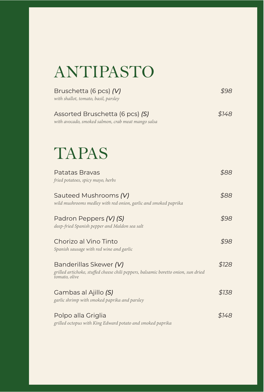| ANTIPASTO |  |
|-----------|--|
|           |  |

| Bruschetta (6 pcs) (V)<br>with shallot, tomato, basil, parsley                                                                | \$98  |
|-------------------------------------------------------------------------------------------------------------------------------|-------|
| Assorted Bruschetta (6 pcs) (S)<br>with avocado, smoked salmon, crab meat mango salsa                                         | \$148 |
| TAPAS                                                                                                                         |       |
| Patatas Brayas<br>fried potatoes, spicy mayo, herbs                                                                           | \$88  |
| Sauteed Mushrooms (V)<br>wild mushrooms medley with red onion, garlic and smoked paprika                                      | \$88  |
| Padron Peppers (V) (S)<br>deep-fried Spanish pepper and Maldon sea salt                                                       | \$98  |
| Chorizo al Vino Tinto<br>Spanish sausage with red wine and garlic                                                             | \$98  |
| Banderillas Skewer (V)<br>grilled artichoke, stuffed cheese chili peppers, balsamic boretto onion, sun dried<br>tomato, olive | \$128 |
| Gambas al Ajillo (S)<br>garlic shrimp with smoked paprika and parsley                                                         | \$138 |
| Polpo alla Griglia<br>grilled octopus with King Edward potato and smoked paprika                                              | \$148 |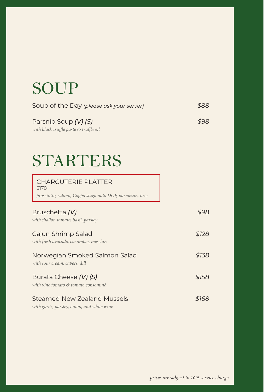#### SOUP

| Soup of the Day (please ask your server) | \$88 |
|------------------------------------------|------|
| Parsnip Soup (V) (S)                     | \$98 |
| with black truffle paste & truffle oil   |      |

### STARTERS

| <b>CHARCUTERIE PLATTER</b><br>\$178<br>prosciutto, salami, Coppa stagionata DOP, parmesan, brie |       |
|-------------------------------------------------------------------------------------------------|-------|
| Bruschetta (V)<br>with shallot, tomato, basil, parsley                                          |       |
| Cajun Shrimp Salad<br>with fresh avocado, cucumber, mesclun                                     | \$128 |
| Norwegian Smoked Salmon Salad<br>with sour cream, capers, dill                                  | \$138 |
| Burata Cheese (V) (S)<br>with vine tomato & tomato consommé                                     | \$158 |
| <b>Steamed New Zealand Mussels</b>                                                              |       |

*with garlic, parsley, onion, and white wine*

*prices are subject to 10% service charge*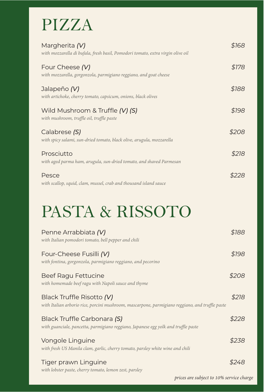## PIZZA

| Margherita (V)<br>with mozzarella di bufala, fresh basil, Pomodori tomato, extra virgin olive oil | \$168 |
|---------------------------------------------------------------------------------------------------|-------|
| Four Cheese (V)<br>with mozzarella, gorgonzola, parmigiano reggiano, and goat cheese              | \$178 |
| Jalapeño (V)<br>with artichoke, cherry tomato, capsicum, onions, black olives                     | \$188 |
| Wild Mushroom & Truffle (V) (S)<br>with mushroom, truffle oil, truffle paste                      | \$198 |
| Calabrese (S)<br>with spicy salami, sun-dried tomato, black olive, arugula, mozzarella            | \$208 |
| Prosciutto<br>with aged parma ham, arugula, sun-dried tomato, and shaved Parmesan                 | \$218 |
| Pesce<br>with scallop, squid, clam, mussel, crab and thousand island sauce                        |       |

# PASTA & RISSOTO

| Penne Arrabbiata (V)<br>with Italian pomodori tomato, bell pepper and chili                                                  | \$188 |
|------------------------------------------------------------------------------------------------------------------------------|-------|
| Four-Cheese Fusilli (V)<br>with fontina, gorgonzola, parmigiano reggiano, and pecorino                                       | \$198 |
| <b>Beef Ragu Fettucine</b><br>with homemade beef ragu with Napoli sauce and thyme                                            | \$208 |
| Black Truffle Risotto (V)<br>with Italian arborio rice, porcini mushroom, mascarpone, parmigiano reggiano, and truffle paste | \$218 |
| Black Truffle Carbonara (S)<br>with guanciale, pancetta, parmigiano reggiano, Japanese egg yolk and truffle paste            | \$228 |
| Vongole Linguine<br>with fresh US Manila clam, garlic, cherry tomato, parsley white wine and chili                           | \$238 |
| Tiger prawn Linguine                                                                                                         |       |

*with lobster paste, cherry tomato, lemon zest, parsley*

*prices are subject to 10% service charge*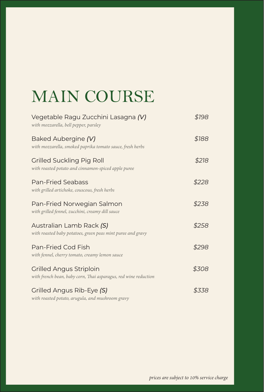# MAIN COURSE

| Vegetable Ragu Zucchini Lasagna (V)<br>with mozzarella, bell pepper, parsley               | \$198 |
|--------------------------------------------------------------------------------------------|-------|
| Baked Aubergine (V)<br>with mozzarella, smoked paprika tomato sauce, fresh herbs           | \$188 |
| Grilled Suckling Pig Roll<br>with roasted potato and cinnamon-spiced apple puree           | \$218 |
| <b>Pan-Fried Seabass</b><br>with grilled artichoke, couscous, fresh herbs                  | \$228 |
| Pan-Fried Norwegian Salmon<br>with grilled fennel, zucchini, creamy dill sauce             | \$238 |
| Australian Lamb Rack (S)<br>with roasted baby potatoes, green peas mint puree and gravy    | \$258 |
| Pan-Fried Cod Fish<br>with fennel, cherry tomato, creamy lemon sauce                       | \$298 |
| Grilled Angus Striploin<br>with french bean, baby corn, Thai asparagus, red wine reduction | \$308 |
| Grilled Angus Rib-Eye (S)<br>with roasted potato, arugula, and mushroom gravy              | \$338 |

*prices are subject to 10% service charge*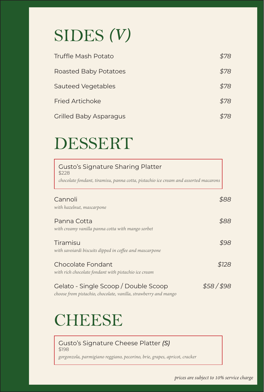# SIDES *(V)*

| Truffle Mash Potato           | \$78 |
|-------------------------------|------|
| <b>Roasted Baby Potatoes</b>  | \$78 |
| Sauteed Vegetables            | \$78 |
| <b>Fried Artichoke</b>        | \$78 |
| <b>Grilled Baby Asparagus</b> |      |

# DESSERT

| <b>Gusto's Signature Sharing Platter</b><br>\$228<br>chocolate fondant, tiramisu, panna cotta, pistachio ice cream and assorted macarons |             |      |
|------------------------------------------------------------------------------------------------------------------------------------------|-------------|------|
| Cannoli                                                                                                                                  |             | 888  |
| with hazelnut, mascarpone                                                                                                                |             |      |
| Panna Cotta                                                                                                                              |             | \$88 |
| with creamy vanilla panna cotta with mango sorbet                                                                                        |             |      |
| Tiramisu                                                                                                                                 |             | \$98 |
| with savoiardi biscuits dipped in coffee and mascarpone                                                                                  |             |      |
| Chocolate Fondant                                                                                                                        | \$128       |      |
| with rich chocolate fondant with pistachio ice cream                                                                                     |             |      |
| Gelato - Single Scoop / Double Scoop<br>choose from pistachio, chocolate, vanilla, strawberry and mango                                  | \$58 / \$98 |      |

## **CHEESE**

#### Gusto's Signature Cheese Platter *(S)* \$198

*gorgonzola, parmigiano reggiano, pecorino, brie, grapes, apricot, cracker*